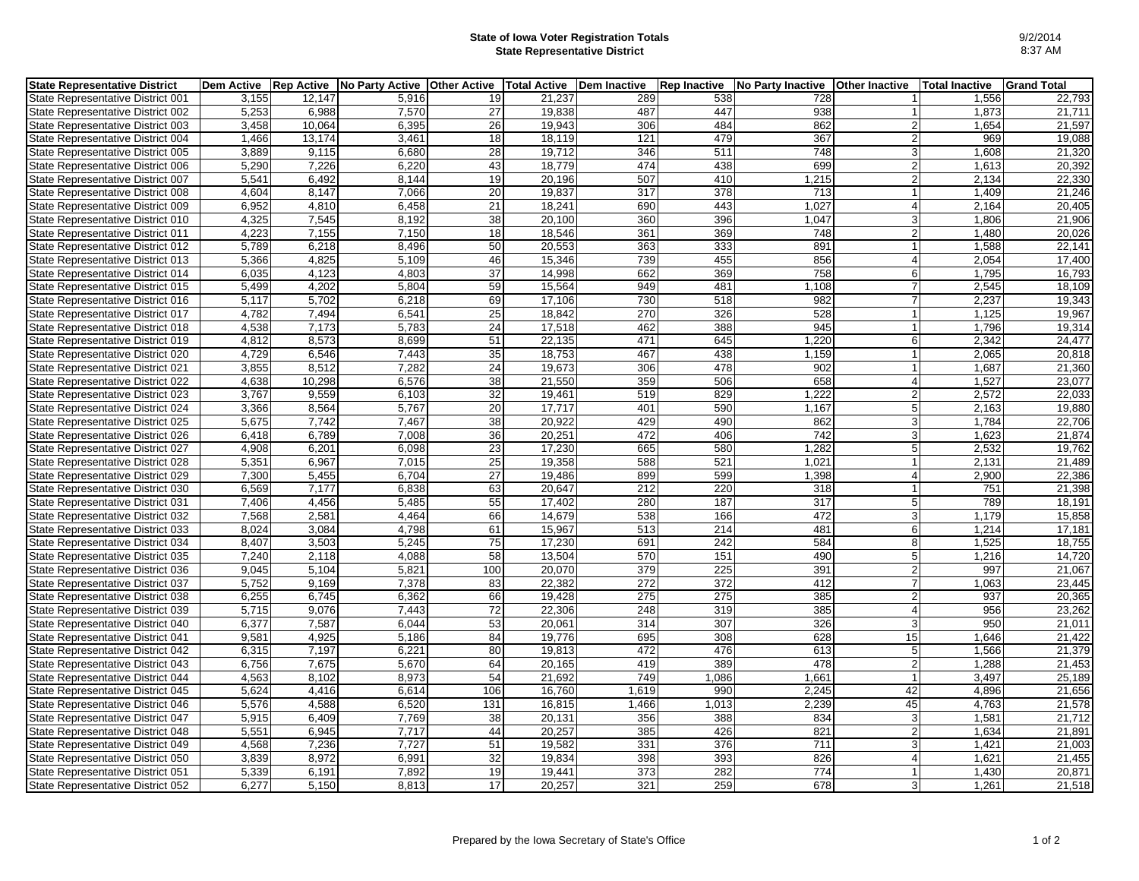## **State of Iowa Voter Registration Totals State Representative District**

| <b>State Representative District</b> |       |        | Dem Active   Rep Active   No Party Active   Other Active |                 | <b>Total Active</b> | Dem Inactive | <b>Rep Inactive</b> | No Party Inactive | <b>Other Inactive</b> | <b>Total Inactive</b> | <b>Grand Total</b> |
|--------------------------------------|-------|--------|----------------------------------------------------------|-----------------|---------------------|--------------|---------------------|-------------------|-----------------------|-----------------------|--------------------|
| State Representative District 001    | 3,155 | 12,147 | 5,916                                                    | 19              | 21,237              | 289          | 538                 | 728               | 1                     | 1,556                 | 22,793             |
| State Representative District 002    | 5,253 | 6.988  | 7.570                                                    | 27              | 19.838              | 487          | 447                 | 938               | $\mathbf{1}$          | 1.873                 | 21,711             |
| State Representative District 003    | 3,458 | 10,064 | 6,395                                                    | 26              | 19,943              | 306          | 484                 | 862               | 2 <sub>2</sub>        | 1,654                 | 21,597             |
| State Representative District 004    | 1.466 | 13.174 | 3.461                                                    | 18              | 18.119              | 121          | 479                 | 367               | 2 <sub>l</sub>        | 969                   | 19.088             |
| State Representative District 005    | 3,889 | 9,115  | 6,680                                                    | 28              | 19,712              | 346          | 511                 | 748               | $\mathbf{3}$          | 1,608                 | 21,320             |
| State Representative District 006    | 5,290 | 7,226  | 6,220                                                    | 43              | 18,779              | 474          | 438                 | 699               | $\overline{2}$        | 1,613                 | 20,392             |
| State Representative District 007    | 5.541 | 6.492  | 8,144                                                    | 19              | 20.196              | 507          | 410                 | 1,215             | $\overline{2}$        | 2.134                 | 22.330             |
| State Representative District 008    | 4,604 | 8,147  | 7,066                                                    | 20              | 19,837              | 317          | 378                 | 713               |                       | 1,409                 | 21,246             |
| State Representative District 009    | 6,952 | 4,810  | 6.458                                                    | $\overline{21}$ | 18.241              | 690          | 443                 | 1.027             | $\overline{4}$        | 2,164                 | 20,405             |
| State Representative District 010    | 4,325 | 7,545  | 8,192                                                    | 38              | 20,100              | 360          | 396                 | 1,047             | 3 <sup>1</sup>        | 1,806                 | 21,906             |
| State Representative District 011    | 4,223 | 7,155  | 7,150                                                    | 18              | 18,546              | 361          | 369                 | 748               | 2 <sub>l</sub>        | 1,480                 | 20,026             |
| State Representative District 012    | 5,789 | 6,218  | 8.496                                                    | 50              | 20.553              | 363          | 333                 | 891               | 1                     | 1,588                 | 22,141             |
| State Representative District 013    | 5,366 | 4,825  | 5,109                                                    | 46              | 15,346              | 739          | 455                 | 856               | $\overline{4}$        | 2,054                 | 17,400             |
| State Representative District 014    | 6,035 | 4,123  | 4,803                                                    | 37              | 14,998              | 662          | 369                 | 758               | 6                     | 1,795                 | 16,793             |
| State Representative District 015    | 5,499 | 4,202  | 5,804                                                    | 59              | 15,564              | 949          | 481                 | 1,108             | $\overline{7}$        | 2,545                 | 18,109             |
| State Representative District 016    | 5,117 | 5,702  | 6,218                                                    | 69              | 17,106              | 730          | 518                 | 982               | $\overline{7}$        | 2,237                 | 19,343             |
| State Representative District 017    | 4.782 | 7,494  | 6.541                                                    | 25              | 18.842              | 270          | 326                 | 528               | $\mathbf{1}$          | 1.125                 | 19.967             |
| State Representative District 018    | 4,538 | 7,173  | 5,783                                                    | 24              | 17,518              | 462          | 388                 | 945               | $\mathbf{1}$          | 1,796                 | 19,314             |
| State Representative District 019    | 4,812 | 8,573  | 8,699                                                    | 51              | 22,135              | 471          | 645                 | 1,220             | 6                     | 2,342                 | 24,477             |
| State Representative District 020    | 4,729 | 6,546  | 7,443                                                    | 35              | 18,753              | 467          | 438                 | 1,159             | $\mathbf{1}$          | 2,065                 | 20,818             |
| State Representative District 021    | 3,855 | 8,512  | 7,282                                                    | $\overline{24}$ | 19,673              | 306          | 478                 | 902               | $\mathbf{1}$          | 1,687                 | 21,360             |
| State Representative District 022    | 4,638 | 10,298 | 6,576                                                    | 38              | 21,550              | 359          | 506                 | 658               | $\overline{4}$        | 1,527                 | 23,077             |
| State Representative District 023    | 3,767 | 9,559  | 6,103                                                    | 32              | 19,461              | 519          | 829                 | 1,222             | 2 <sub>l</sub>        | 2,572                 | 22,033             |
| State Representative District 024    | 3,366 | 8,564  | 5,767                                                    | 20              | 17,717              | 401          | 590                 | 1,167             | 5 <sup>1</sup>        | 2,163                 | 19,880             |
| State Representative District 025    | 5,675 | 7,742  | 7,467                                                    | 38              | 20,922              | 429          | 490                 | 862               | 3 <sup>1</sup>        | 1,784                 | 22,706             |
| State Representative District 026    | 6.418 | 6.789  | 7.008                                                    | 36              | 20.251              | 472          | 406                 | 742               | 3 <sup>1</sup>        | 1.623                 | 21,874             |
| State Representative District 027    | 4,908 | 6,201  | 6,098                                                    | 23              | 17,230              | 665          | 580                 | 1,282             | 5 <sub>5</sub>        | 2,532                 | 19,762             |
| State Representative District 028    | 5,351 | 6,967  | 7,015                                                    | 25              | 19,358              | 588          | 521                 | 1,021             | $\vert$ 1             | 2,131                 | 21,489             |
| State Representative District 029    | 7,300 | 5,455  | 6.704                                                    | 27              | 19.486              | 899          | 599                 | 1,398             | $\overline{4}$        | 2.900                 | 22,386             |
| State Representative District 030    | 6,569 | 7,177  | 6,838                                                    | 63              | 20,647              | 212          | 220                 | 318               |                       | 751                   | 21,398             |
| State Representative District 031    | 7,406 | 4,456  | 5,485                                                    | 55              | 17,402              | 280          | 187                 | 317               | 5 <sub>l</sub>        | 789                   | 18,191             |
| State Representative District 032    | 7,568 | 2,581  | 4,464                                                    | 66              | 14,679              | 538          | 166                 | 472               | 3 <sup>l</sup>        | 1,179                 | 15,858             |
| State Representative District 033    | 8,024 | 3,084  | 4,798                                                    | 61              | 15,967              | 513          | 214                 | 481               | 6                     | 1,214                 | 17,181             |
| State Representative District 034    | 8.407 | 3,503  | 5,245                                                    | 75              | 17,230              | 691          | 242                 | 584               | 8                     | 1,525                 | 18,755             |
| State Representative District 035    | 7,240 | 2,118  | 4,088                                                    | 58              | 13,504              | 570          | 151                 | 490               | 5 <sub>5</sub>        | 1,216                 | 14,720             |
| State Representative District 036    | 9,045 | 5,104  | 5,821                                                    | 100             | 20,070              | 379          | 225                 | 391               | $\overline{2}$        | 997                   | 21,067             |
| State Representative District 037    | 5,752 | 9,169  | 7,378                                                    | 83              | 22,382              | 272          | 372                 | 412               | $\overline{7}$        | 1,063                 | 23,445             |
| State Representative District 038    | 6,255 | 6,745  | 6,362                                                    | 66              | 19,428              | 275          | 275                 | 385               | $\overline{2}$        | 937                   | 20,365             |
| State Representative District 039    | 5,715 | 9,076  | 7.443                                                    | 72              | 22.306              | 248          | 319                 | 385               | $\overline{4}$        | 956                   | 23,262             |
| State Representative District 040    | 6,377 | 7,587  | 6,044                                                    | 53              | 20,061              | 314          | 307                 | 326               | 3 <sup>1</sup>        | 950                   | 21,011             |
| State Representative District 041    | 9,581 | 4,925  | 5,186                                                    | 84              | 19,776              | 695          | $\overline{308}$    | 628               | 15                    | 1,646                 | 21,422             |
| State Representative District 042    | 6,315 | 7,197  | 6,221                                                    | 80              | 19,813              | 472          | 476                 | 613               | 5 <sub>l</sub>        | 1,566                 | 21,379             |
| State Representative District 043    | 6,756 | 7,675  | 5,670                                                    | 64              | 20,165              | 419          | 389                 | 478               | $\overline{2}$        | 1,288                 | 21,453             |
| State Representative District 044    | 4,563 | 8,102  | 8,973                                                    | $\overline{54}$ | 21.692              | 749          | 1,086               | 1,661             | $\mathbf{1}$          | 3,497                 | 25,189             |
| State Representative District 045    | 5,624 | 4,416  | 6,614                                                    | 106             | 16,760              | 1,619        | 990                 | 2,245             | 42                    | 4,896                 | 21,656             |
| State Representative District 046    | 5,576 | 4,588  | 6,520                                                    | 131             | 16,815              | 1,466        | 1,013               | 2,239             | 45                    | 4,763                 | 21,578             |
| State Representative District 047    | 5,915 | 6,409  | 7,769                                                    | 38              | 20,131              | 356          | 388                 | 834               | 3                     | 1,581                 | 21,712             |
| State Representative District 048    | 5,551 | 6,945  | 7,717                                                    | 44              | 20.257              | 385          | 426                 | 821               | $\overline{2}$        | 1,634                 | 21,891             |
| State Representative District 049    | 4,568 | 7,236  | 7,727                                                    | 51              | 19,582              | 331          | 376                 | $\overline{711}$  | 3                     | 1,421                 | 21,003             |
| State Representative District 050    | 3,839 | 8,972  | 6,991                                                    | 32              | 19,834              | 398          | 393                 | 826               | $\overline{4}$        | 1,621                 | 21,455             |
| State Representative District 051    | 5,339 | 6,191  | 7,892                                                    | 19              | 19,441              | 373          | 282                 | 774               | $\mathbf{1}$          | 1,430                 | 20,871             |
| State Representative District 052    | 6,277 | 5,150  | 8,813                                                    | 17              | 20,257              | 321          | 259                 | 678               | 3 <sup>1</sup>        | 1,261                 | 21,518             |
|                                      |       |        |                                                          |                 |                     |              |                     |                   |                       |                       |                    |